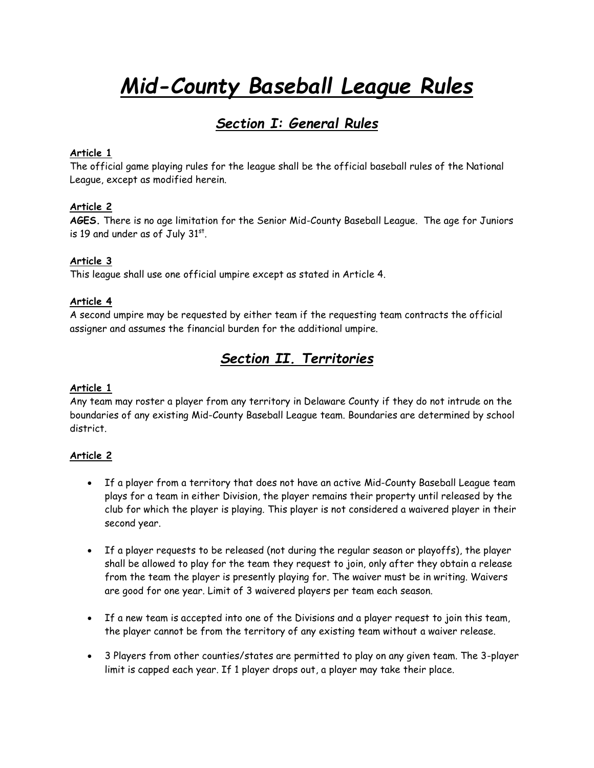# *Mid-County Baseball League Rules*

# *Section I: General Rules*

### **Article 1**

The official game playing rules for the league shall be the official baseball rules of the National League, except as modified herein.

# **Article 2**

**AGES.** There is no age limitation for the Senior Mid-County Baseball League. The age for Juniors is 19 and under as of July 31st.

#### **Article 3**

This league shall use one official umpire except as stated in Article 4.

#### **Article 4**

A second umpire may be requested by either team if the requesting team contracts the official assigner and assumes the financial burden for the additional umpire.

# *Section II. Territories*

#### **Article 1**

Any team may roster a player from any territory in Delaware County if they do not intrude on the boundaries of any existing Mid-County Baseball League team. Boundaries are determined by school district.

#### **Article 2**

- If a player from a territory that does not have an active Mid-County Baseball League team plays for a team in either Division, the player remains their property until released by the club for which the player is playing. This player is not considered a waivered player in their second year.
- If a player requests to be released (not during the regular season or playoffs), the player shall be allowed to play for the team they request to join, only after they obtain a release from the team the player is presently playing for. The waiver must be in writing. Waivers are good for one year. Limit of 3 waivered players per team each season.
- If a new team is accepted into one of the Divisions and a player request to join this team, the player cannot be from the territory of any existing team without a waiver release.
- 3 Players from other counties/states are permitted to play on any given team. The 3-player limit is capped each year. If 1 player drops out, a player may take their place.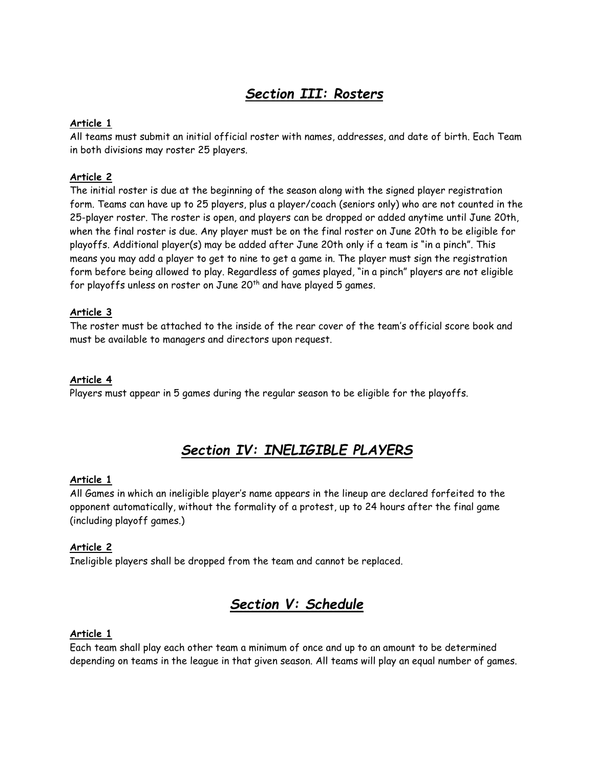# *Section III: Rosters*

# **Article 1**

All teams must submit an initial official roster with names, addresses, and date of birth. Each Team in both divisions may roster 25 players.

# **Article 2**

The initial roster is due at the beginning of the season along with the signed player registration form. Teams can have up to 25 players, plus a player/coach (seniors only) who are not counted in the 25-player roster. The roster is open, and players can be dropped or added anytime until June 20th, when the final roster is due. Any player must be on the final roster on June 20th to be eligible for playoffs. Additional player(s) may be added after June 20th only if a team is "in a pinch". This means you may add a player to get to nine to get a game in. The player must sign the registration form before being allowed to play. Regardless of games played, "in a pinch" players are not eligible for playoffs unless on roster on June 20<sup>th</sup> and have played 5 games.

# **Article 3**

The roster must be attached to the inside of the rear cover of the team's official score book and must be available to managers and directors upon request.

# **Article 4**

Players must appear in 5 games during the regular season to be eligible for the playoffs.

# *Section IV: INELIGIBLE PLAYERS*

# **Article 1**

All Games in which an ineligible player's name appears in the lineup are declared forfeited to the opponent automatically, without the formality of a protest, up to 24 hours after the final game (including playoff games.)

# **Article 2**

Ineligible players shall be dropped from the team and cannot be replaced.

# *Section V: Schedule*

#### **Article 1**

Each team shall play each other team a minimum of once and up to an amount to be determined depending on teams in the league in that given season. All teams will play an equal number of games.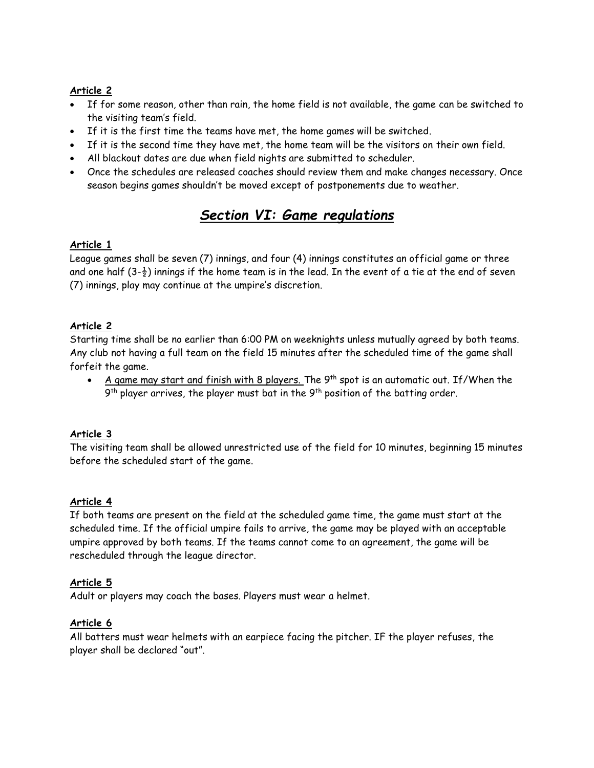# **Article 2**

- If for some reason, other than rain, the home field is not available, the game can be switched to the visiting team's field.
- If it is the first time the teams have met, the home games will be switched.
- If it is the second time they have met, the home team will be the visitors on their own field.
- All blackout dates are due when field nights are submitted to scheduler.
- Once the schedules are released coaches should review them and make changes necessary. Once season begins games shouldn't be moved except of postponements due to weather.

# *Section VI: Game regulations*

#### **Article 1**

League games shall be seven (7) innings, and four (4) innings constitutes an official game or three and one half  $(3-\frac{1}{2})$  innings if the home team is in the lead. In the event of a tie at the end of seven (7) innings, play may continue at the umpire's discretion.

# **Article 2**

Starting time shall be no earlier than 6:00 PM on weeknights unless mutually agreed by both teams. Any club not having a full team on the field 15 minutes after the scheduled time of the game shall forfeit the game.

• A game may start and finish with 8 players. The  $9^{th}$  spot is an automatic out. If/When the  $9^{\text{th}}$  player arrives, the player must bat in the  $9^{\text{th}}$  position of the batting order.

# **Article 3**

The visiting team shall be allowed unrestricted use of the field for 10 minutes, beginning 15 minutes before the scheduled start of the game.

# **Article 4**

If both teams are present on the field at the scheduled game time, the game must start at the scheduled time. If the official umpire fails to arrive, the game may be played with an acceptable umpire approved by both teams. If the teams cannot come to an agreement, the game will be rescheduled through the league director.

#### **Article 5**

Adult or players may coach the bases. Players must wear a helmet.

# **Article 6**

All batters must wear helmets with an earpiece facing the pitcher. IF the player refuses, the player shall be declared "out".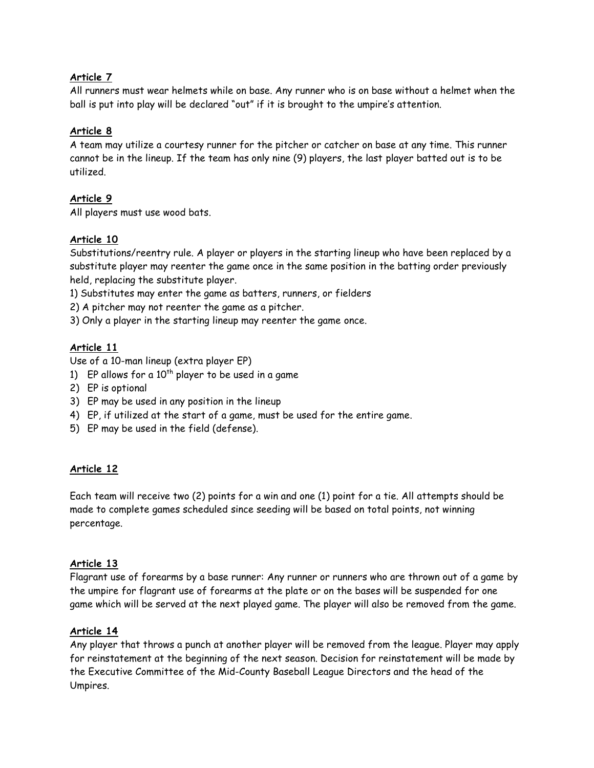# **Article 7**

All runners must wear helmets while on base. Any runner who is on base without a helmet when the ball is put into play will be declared "out" if it is brought to the umpire's attention.

# **Article 8**

A team may utilize a courtesy runner for the pitcher or catcher on base at any time. This runner cannot be in the lineup. If the team has only nine (9) players, the last player batted out is to be utilized.

# **Article 9**

All players must use wood bats.

# **Article 10**

Substitutions/reentry rule. A player or players in the starting lineup who have been replaced by a substitute player may reenter the game once in the same position in the batting order previously held, replacing the substitute player.

1) Substitutes may enter the game as batters, runners, or fielders

2) A pitcher may not reenter the game as a pitcher.

3) Only a player in the starting lineup may reenter the game once.

# **Article 11**

Use of a 10-man lineup (extra player EP)

- 1) EP allows for a  $10^{th}$  player to be used in a game
- 2) EP is optional
- 3) EP may be used in any position in the lineup
- 4) EP, if utilized at the start of a game, must be used for the entire game.
- 5) EP may be used in the field (defense).

# **Article 12**

Each team will receive two (2) points for a win and one (1) point for a tie. All attempts should be made to complete games scheduled since seeding will be based on total points, not winning percentage.

#### **Article 13**

Flagrant use of forearms by a base runner: Any runner or runners who are thrown out of a game by the umpire for flagrant use of forearms at the plate or on the bases will be suspended for one game which will be served at the next played game. The player will also be removed from the game.

# **Article 14**

Any player that throws a punch at another player will be removed from the league. Player may apply for reinstatement at the beginning of the next season. Decision for reinstatement will be made by the Executive Committee of the Mid-County Baseball League Directors and the head of the Umpires.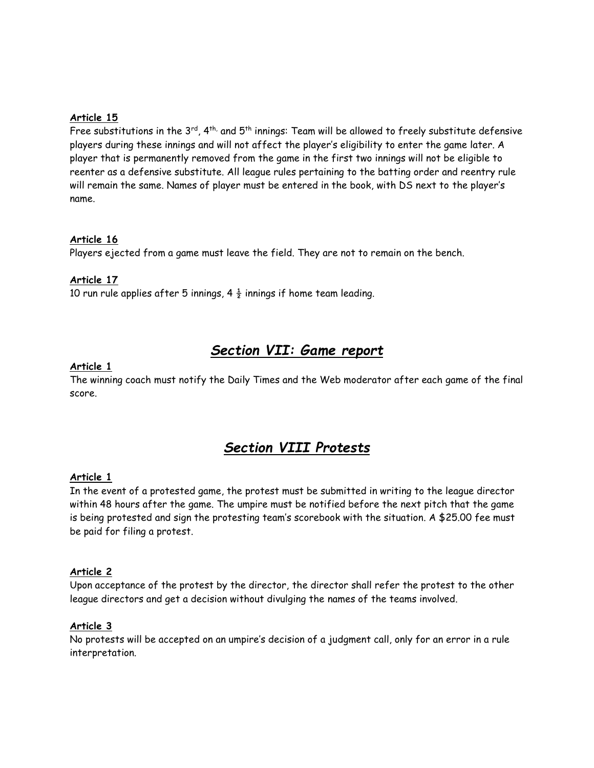### **Article 15**

Free substitutions in the  $3^{rd}$ ,  $4^{th}$ , and  $5^{th}$  innings: Team will be allowed to freely substitute defensive players during these innings and will not affect the player's eligibility to enter the game later. A player that is permanently removed from the game in the first two innings will not be eligible to reenter as a defensive substitute. All league rules pertaining to the batting order and reentry rule will remain the same. Names of player must be entered in the book, with DS next to the player's name.

### **Article 16**

Players ejected from a game must leave the field. They are not to remain on the bench.

#### **Article 17**

10 run rule applies after 5 innings, 4  $\frac{1}{2}$  innings if home team leading.

# *Section VII: Game report*

#### **Article 1**

The winning coach must notify the Daily Times and the Web moderator after each game of the final score.

# *Section VIII Protests*

#### **Article 1**

In the event of a protested game, the protest must be submitted in writing to the league director within 48 hours after the game. The umpire must be notified before the next pitch that the game is being protested and sign the protesting team's scorebook with the situation. A \$25.00 fee must be paid for filing a protest.

#### **Article 2**

Upon acceptance of the protest by the director, the director shall refer the protest to the other league directors and get a decision without divulging the names of the teams involved.

#### **Article 3**

No protests will be accepted on an umpire's decision of a judgment call, only for an error in a rule interpretation.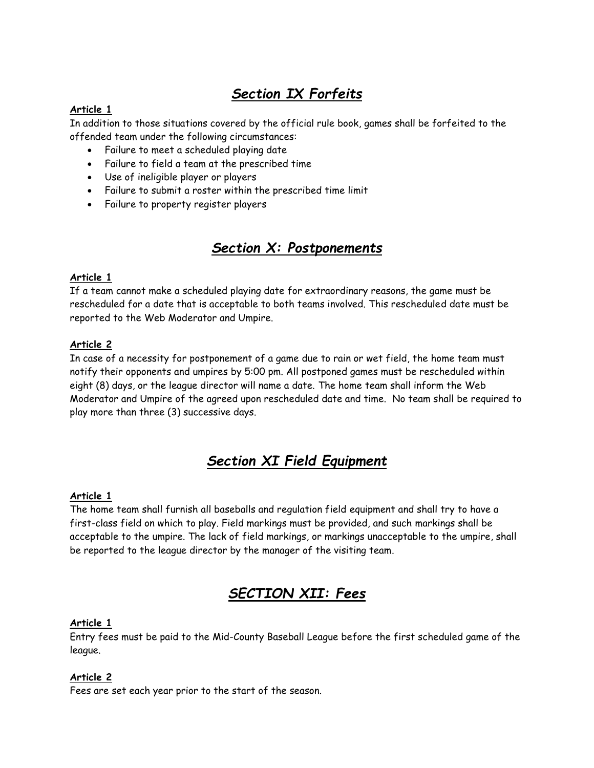# *Section IX Forfeits*

# **Article 1**

In addition to those situations covered by the official rule book, games shall be forfeited to the offended team under the following circumstances:

- Failure to meet a scheduled playing date
- Failure to field a team at the prescribed time
- Use of ineligible player or players
- Failure to submit a roster within the prescribed time limit
- Failure to property register players

# *Section X: Postponements*

# **Article 1**

If a team cannot make a scheduled playing date for extraordinary reasons, the game must be rescheduled for a date that is acceptable to both teams involved. This rescheduled date must be reported to the Web Moderator and Umpire.

# **Article 2**

In case of a necessity for postponement of a game due to rain or wet field, the home team must notify their opponents and umpires by 5:00 pm. All postponed games must be rescheduled within eight (8) days, or the league director will name a date. The home team shall inform the Web Moderator and Umpire of the agreed upon rescheduled date and time. No team shall be required to play more than three (3) successive days.

# *Section XI Field Equipment*

# **Article 1**

The home team shall furnish all baseballs and regulation field equipment and shall try to have a first-class field on which to play. Field markings must be provided, and such markings shall be acceptable to the umpire. The lack of field markings, or markings unacceptable to the umpire, shall be reported to the league director by the manager of the visiting team.

# *SECTION XII: Fees*

# **Article 1**

Entry fees must be paid to the Mid-County Baseball League before the first scheduled game of the league.

# **Article 2**

Fees are set each year prior to the start of the season.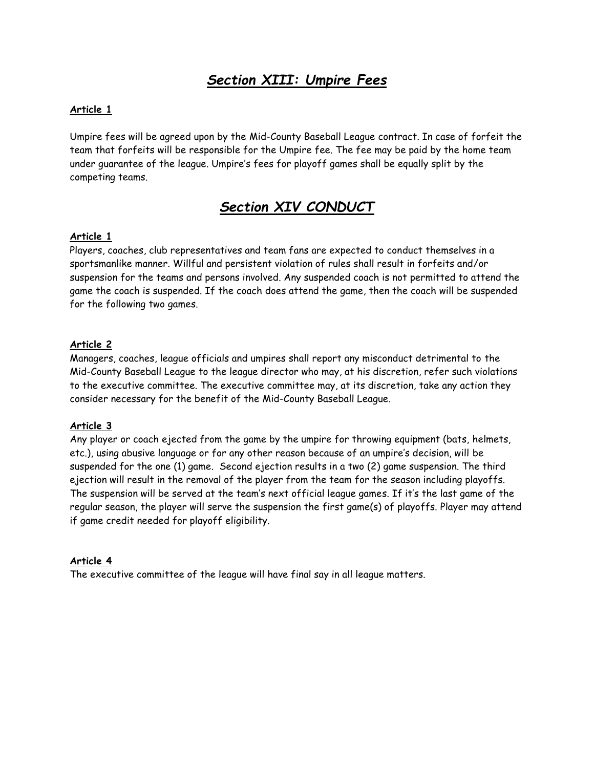# *Section XIII: Umpire Fees*

#### **Article 1**

Umpire fees will be agreed upon by the Mid-County Baseball League contract. In case of forfeit the team that forfeits will be responsible for the Umpire fee. The fee may be paid by the home team under guarantee of the league. Umpire's fees for playoff games shall be equally split by the competing teams.

# *Section XIV CONDUCT*

#### **Article 1**

Players, coaches, club representatives and team fans are expected to conduct themselves in a sportsmanlike manner. Willful and persistent violation of rules shall result in forfeits and/or suspension for the teams and persons involved. Any suspended coach is not permitted to attend the game the coach is suspended. If the coach does attend the game, then the coach will be suspended for the following two games.

#### **Article 2**

Managers, coaches, league officials and umpires shall report any misconduct detrimental to the Mid-County Baseball League to the league director who may, at his discretion, refer such violations to the executive committee. The executive committee may, at its discretion, take any action they consider necessary for the benefit of the Mid-County Baseball League.

#### **Article 3**

Any player or coach ejected from the game by the umpire for throwing equipment (bats, helmets, etc.), using abusive language or for any other reason because of an umpire's decision, will be suspended for the one (1) game. Second ejection results in a two (2) game suspension. The third ejection will result in the removal of the player from the team for the season including playoffs. The suspension will be served at the team's next official league games. If it's the last game of the regular season, the player will serve the suspension the first game(s) of playoffs. Player may attend if game credit needed for playoff eligibility.

#### **Article 4**

The executive committee of the league will have final say in all league matters.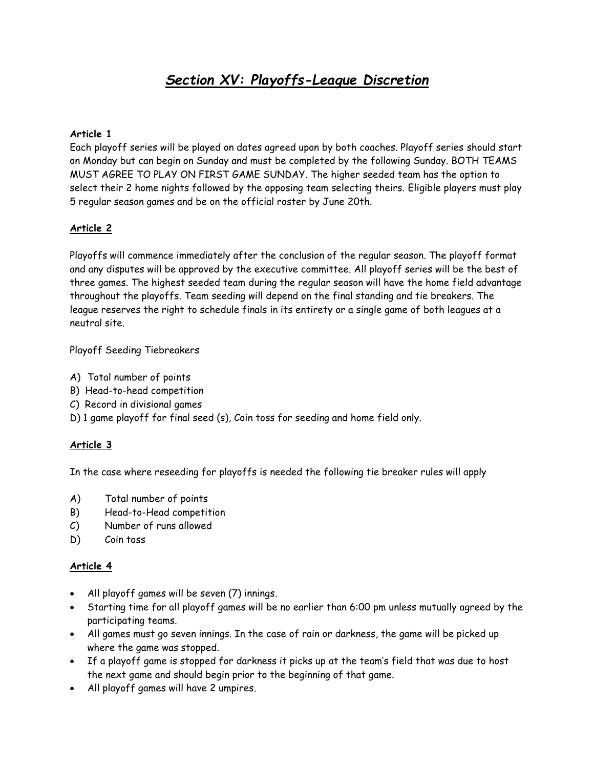# *Section XV: Playoffs-League Discretion*

### **Article 1**

Each playoff series will be played on dates agreed upon by both coaches. Playoff series should start on Monday but can begin on Sunday and must be completed by the following Sunday. BOTH TEAMS MUST AGREE TO PLAY ON FIRST GAME SUNDAY. The higher seeded team has the option to select their 2 home nights followed by the opposing team selecting theirs. Eligible players must play 5 regular season games and be on the official roster by June 20th.

#### **Article 2**

Playoffs will commence immediately after the conclusion of the regular season. The playoff format and any disputes will be approved by the executive committee. All playoff series will be the best of three games. The highest seeded team during the regular season will have the home field advantage throughout the playoffs. Team seeding will depend on the final standing and tie breakers. The league reserves the right to schedule finals in its entirety or a single game of both leagues at a neutral site.

Playoff Seeding Tiebreakers

- A) Total number of points
- B) Head-to-head competition
- C) Record in divisional games
- D) 1 game playoff for final seed (s), Coin toss for seeding and home field only.

#### **Article 3**

In the case where reseeding for playoffs is needed the following tie breaker rules will apply

- A) Total number of points
- B) Head-to-Head competition
- C) Number of runs allowed
- D) Coin toss

#### **Article 4**

- All playoff games will be seven (7) innings.
- Starting time for all playoff games will be no earlier than 6:00 pm unless mutually agreed by the participating teams.
- All games must go seven innings. In the case of rain or darkness, the game will be picked up where the game was stopped.
- If a playoff game is stopped for darkness it picks up at the team's field that was due to host the next game and should begin prior to the beginning of that game.
- All playoff games will have 2 umpires.